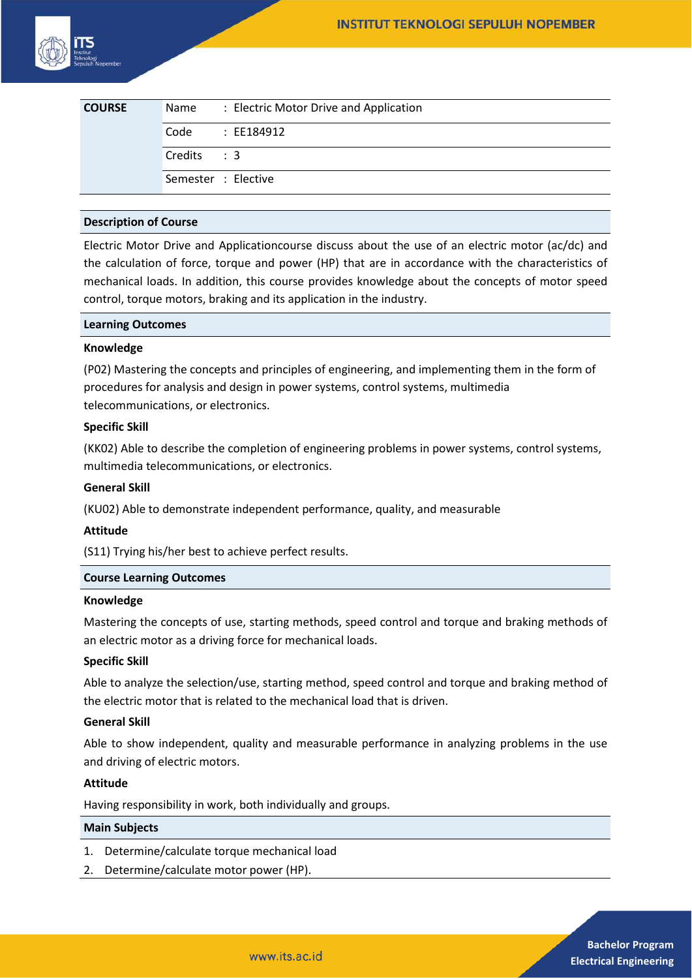| <b>COURSE</b> | Name                | : Electric Motor Drive and Application |
|---------------|---------------------|----------------------------------------|
|               | Code                | : EE184912                             |
|               | Credits : 3         |                                        |
|               | Semester : Elective |                                        |

# **Description of Course**

Electric Motor Drive and Applicationcourse discuss about the use of an electric motor (ac/dc) and the calculation of force, torque and power (HP) that are in accordance with the characteristics of mechanical loads. In addition, this course provides knowledge about the concepts of motor speed control, torque motors, braking and its application in the industry.

## **Learning Outcomes**

#### **Knowledge**

(P02) Mastering the concepts and principles of engineering, and implementing them in the form of procedures for analysis and design in power systems, control systems, multimedia telecommunications, or electronics.

## **Specific Skill**

(KK02) Able to describe the completion of engineering problems in power systems, control systems, multimedia telecommunications, or electronics.

### **General Skill**

(KU02) Able to demonstrate independent performance, quality, and measurable

# **Attitude**

(S11) Trying his/her best to achieve perfect results.

# **Course Learning Outcomes**

#### **Knowledge**

Mastering the concepts of use, starting methods, speed control and torque and braking methods of an electric motor as a driving force for mechanical loads.

# **Specific Skill**

Able to analyze the selection/use, starting method, speed control and torque and braking method of the electric motor that is related to the mechanical load that is driven.

#### **General Skill**

Able to show independent, quality and measurable performance in analyzing problems in the use and driving of electric motors.

#### **Attitude**

Having responsibility in work, both individually and groups.

#### **Main Subjects**

- 1. Determine/calculate torque mechanical load
- 2. Determine/calculate motor power (HP).